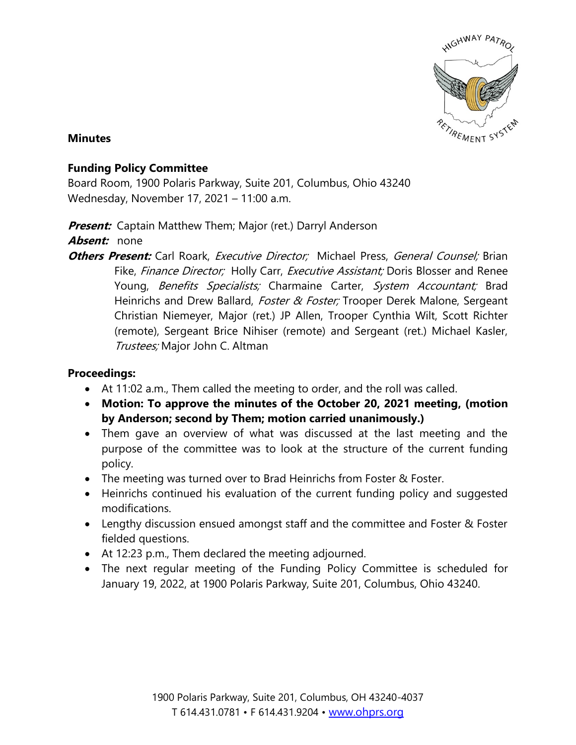

## **Minutes**

## **Funding Policy Committee**

Board Room, 1900 Polaris Parkway, Suite 201, Columbus, Ohio 43240 Wednesday, November 17, 2021 – 11:00 a.m.

**Present:** Captain Matthew Them; Major (ret.) Darryl Anderson

**Absent:** none

**Others Present:** Carl Roark, *Executive Director;* Michael Press, *General Counsel;* Brian Fike, Finance Director; Holly Carr, Executive Assistant; Doris Blosser and Renee Young, Benefits Specialists; Charmaine Carter, System Accountant; Brad Heinrichs and Drew Ballard, Foster & Foster; Trooper Derek Malone, Sergeant Christian Niemeyer, Major (ret.) JP Allen, Trooper Cynthia Wilt, Scott Richter (remote), Sergeant Brice Nihiser (remote) and Sergeant (ret.) Michael Kasler, Trustees; Major John C. Altman

## **Proceedings:**

- At 11:02 a.m., Them called the meeting to order, and the roll was called.
- **Motion: To approve the minutes of the October 20, 2021 meeting, (motion by Anderson; second by Them; motion carried unanimously.)**
- Them gave an overview of what was discussed at the last meeting and the purpose of the committee was to look at the structure of the current funding policy.
- The meeting was turned over to Brad Heinrichs from Foster & Foster.
- Heinrichs continued his evaluation of the current funding policy and suggested modifications.
- Lengthy discussion ensued amongst staff and the committee and Foster & Foster fielded questions.
- At 12:23 p.m., Them declared the meeting adjourned.
- The next regular meeting of the Funding Policy Committee is scheduled for January 19, 2022, at 1900 Polaris Parkway, Suite 201, Columbus, Ohio 43240.